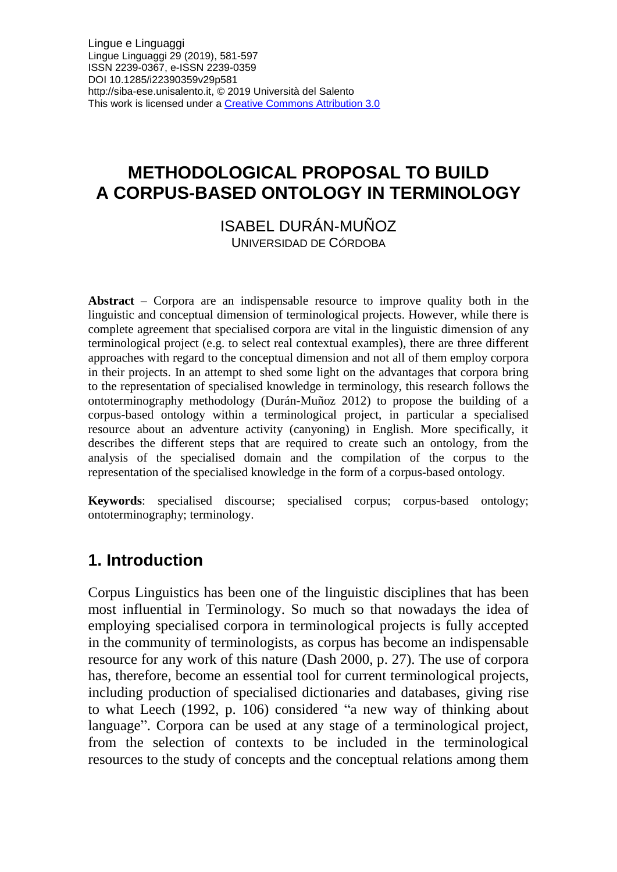# **METHODOLOGICAL PROPOSAL TO BUILD A CORPUS-BASED ONTOLOGY IN TERMINOLOGY**

ISABEL DURÁN-MUÑOZ UNIVERSIDAD DE CÓRDOBA

**Abstract** – Corpora are an indispensable resource to improve quality both in the linguistic and conceptual dimension of terminological projects. However, while there is complete agreement that specialised corpora are vital in the linguistic dimension of any terminological project (e.g. to select real contextual examples), there are three different approaches with regard to the conceptual dimension and not all of them employ corpora in their projects. In an attempt to shed some light on the advantages that corpora bring to the representation of specialised knowledge in terminology, this research follows the ontoterminography methodology (Durán-Muñoz 2012) to propose the building of a corpus-based ontology within a terminological project, in particular a specialised resource about an adventure activity (canyoning) in English. More specifically, it describes the different steps that are required to create such an ontology, from the analysis of the specialised domain and the compilation of the corpus to the representation of the specialised knowledge in the form of a corpus-based ontology.

**Keywords**: specialised discourse; specialised corpus; corpus-based ontology; ontoterminography; terminology.

# **1. Introduction**

Corpus Linguistics has been one of the linguistic disciplines that has been most influential in Terminology. So much so that nowadays the idea of employing specialised corpora in terminological projects is fully accepted in the community of terminologists, as corpus has become an indispensable resource for any work of this nature (Dash 2000, p. 27). The use of corpora has, therefore, become an essential tool for current terminological projects, including production of specialised dictionaries and databases, giving rise to what Leech (1992, p. 106) considered "a new way of thinking about language". Corpora can be used at any stage of a terminological project, from the selection of contexts to be included in the terminological resources to the study of concepts and the conceptual relations among them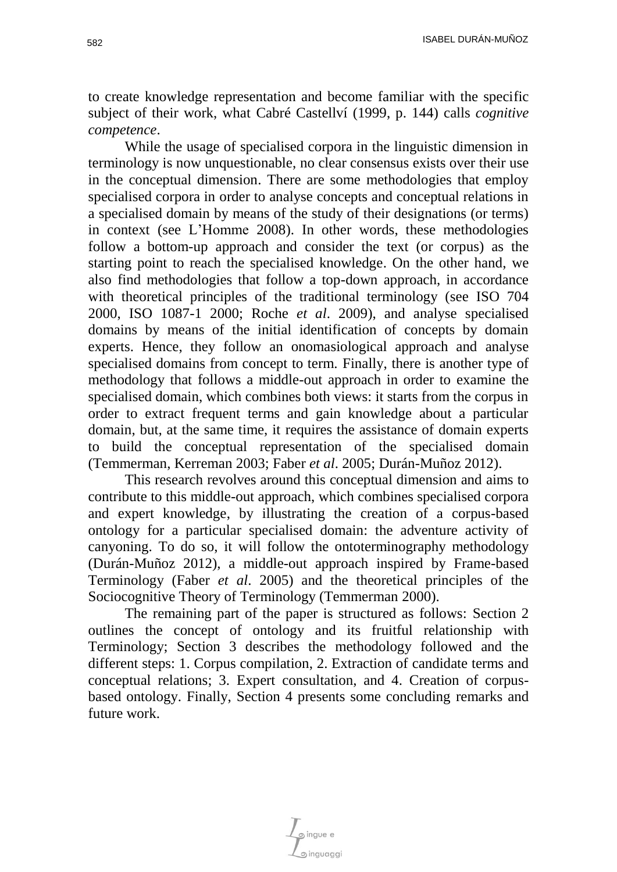to create knowledge representation and become familiar with the specific subject of their work, what Cabré Castellví (1999, p. 144) calls *cognitive competence*.

While the usage of specialised corpora in the linguistic dimension in terminology is now unquestionable, no clear consensus exists over their use in the conceptual dimension. There are some methodologies that employ specialised corpora in order to analyse concepts and conceptual relations in a specialised domain by means of the study of their designations (or terms) in context (see L'Homme 2008). In other words, these methodologies follow a bottom-up approach and consider the text (or corpus) as the starting point to reach the specialised knowledge. On the other hand, we also find methodologies that follow a top-down approach, in accordance with theoretical principles of the traditional terminology (see ISO 704 2000, ISO 1087-1 2000; Roche *et al*. 2009), and analyse specialised domains by means of the initial identification of concepts by domain experts. Hence, they follow an onomasiological approach and analyse specialised domains from concept to term. Finally, there is another type of methodology that follows a middle-out approach in order to examine the specialised domain, which combines both views: it starts from the corpus in order to extract frequent terms and gain knowledge about a particular domain, but, at the same time, it requires the assistance of domain experts to build the conceptual representation of the specialised domain (Temmerman, Kerreman 2003; Faber *et al*. 2005; Durán-Muñoz 2012).

This research revolves around this conceptual dimension and aims to contribute to this middle-out approach, which combines specialised corpora and expert knowledge, by illustrating the creation of a corpus-based ontology for a particular specialised domain: the adventure activity of canyoning. To do so, it will follow the ontoterminography methodology (Durán-Muñoz 2012), a middle-out approach inspired by Frame-based Terminology (Faber *et al*. 2005) and the theoretical principles of the Sociocognitive Theory of Terminology (Temmerman 2000).

The remaining part of the paper is structured as follows: Section 2 outlines the concept of ontology and its fruitful relationship with Terminology; Section 3 describes the methodology followed and the different steps: 1. Corpus compilation, 2. Extraction of candidate terms and conceptual relations; 3. Expert consultation, and 4. Creation of corpusbased ontology. Finally, Section 4 presents some concluding remarks and future work.

inguaggi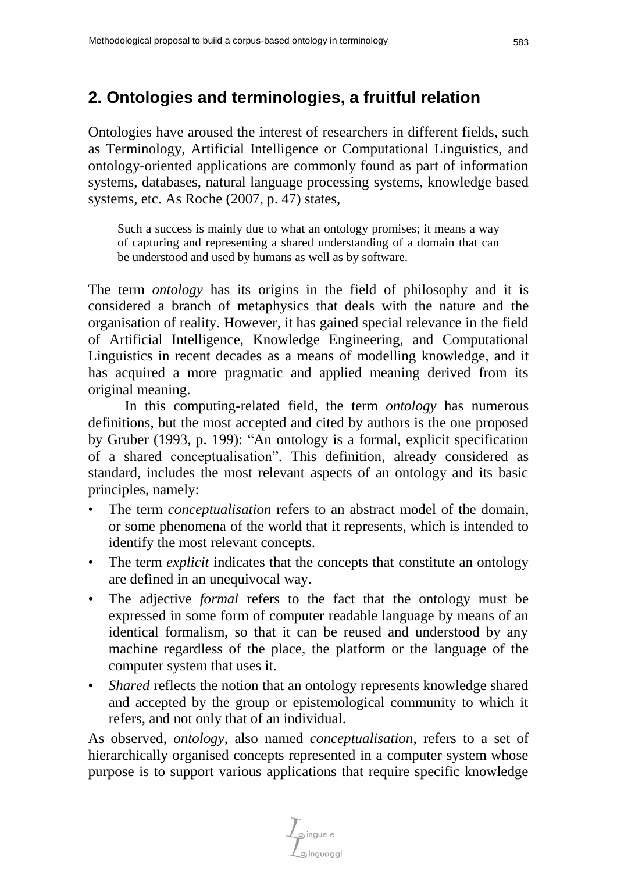## **2. Ontologies and terminologies, a fruitful relation**

Ontologies have aroused the interest of researchers in different fields, such as Terminology, Artificial Intelligence or Computational Linguistics, and ontology-oriented applications are commonly found as part of information systems, databases, natural language processing systems, knowledge based systems, etc. As Roche (2007, p. 47) states,

Such a success is mainly due to what an ontology promises; it means a way of capturing and representing a shared understanding of a domain that can be understood and used by humans as well as by software.

The term *ontology* has its origins in the field of philosophy and it is considered a branch of metaphysics that deals with the nature and the organisation of reality. However, it has gained special relevance in the field of Artificial Intelligence, Knowledge Engineering, and Computational Linguistics in recent decades as a means of modelling knowledge, and it has acquired a more pragmatic and applied meaning derived from its original meaning.

In this computing-related field, the term *ontology* has numerous definitions, but the most accepted and cited by authors is the one proposed by Gruber (1993, p. 199): "An ontology is a formal, explicit specification of a shared conceptualisation". This definition, already considered as standard, includes the most relevant aspects of an ontology and its basic principles, namely:

- The term *conceptualisation* refers to an abstract model of the domain, or some phenomena of the world that it represents, which is intended to identify the most relevant concepts.
- The term *explicit* indicates that the concepts that constitute an ontology are defined in an unequivocal way.
- The adjective *formal* refers to the fact that the ontology must be expressed in some form of computer readable language by means of an identical formalism, so that it can be reused and understood by any machine regardless of the place, the platform or the language of the computer system that uses it.
- *Shared* reflects the notion that an ontology represents knowledge shared and accepted by the group or epistemological community to which it refers, and not only that of an individual.

As observed, *ontology*, also named *conceptualisation*, refers to a set of hierarchically organised concepts represented in a computer system whose purpose is to support various applications that require specific knowledge

pingue e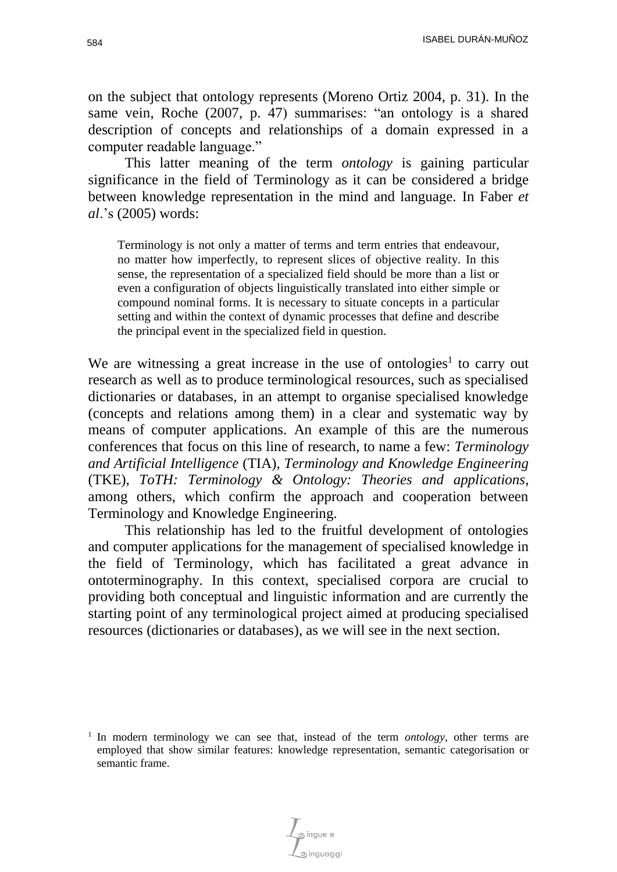on the subject that ontology represents (Moreno Ortiz 2004, p. 31). In the same vein, Roche (2007, p. 47) summarises: "an ontology is a shared description of concepts and relationships of a domain expressed in a computer readable language."

This latter meaning of the term *ontology* is gaining particular significance in the field of Terminology as it can be considered a bridge between knowledge representation in the mind and language. In Faber *et al*.'s (2005) words:

Terminology is not only a matter of terms and term entries that endeavour, no matter how imperfectly, to represent slices of objective reality. In this sense, the representation of a specialized field should be more than a list or even a configuration of objects linguistically translated into either simple or compound nominal forms. It is necessary to situate concepts in a particular setting and within the context of dynamic processes that define and describe the principal event in the specialized field in question.

We are witnessing a great increase in the use of ontologies<sup>1</sup> to carry out research as well as to produce terminological resources, such as specialised dictionaries or databases, in an attempt to organise specialised knowledge (concepts and relations among them) in a clear and systematic way by means of computer applications. An example of this are the numerous conferences that focus on this line of research, to name a few: *Terminology and Artificial Intelligence* (TIA), *Terminology and Knowledge Engineering* (TKE), *ToTH: Terminology & Ontology: Theories and applications*, among others, which confirm the approach and cooperation between Terminology and Knowledge Engineering.

This relationship has led to the fruitful development of ontologies and computer applications for the management of specialised knowledge in the field of Terminology, which has facilitated a great advance in ontoterminography. In this context, specialised corpora are crucial to providing both conceptual and linguistic information and are currently the starting point of any terminological project aimed at producing specialised resources (dictionaries or databases), as we will see in the next section.

<sup>&</sup>lt;sup>1</sup> In modern terminology we can see that, instead of the term *ontology*, other terms are employed that show similar features: knowledge representation, semantic categorisation or semantic frame.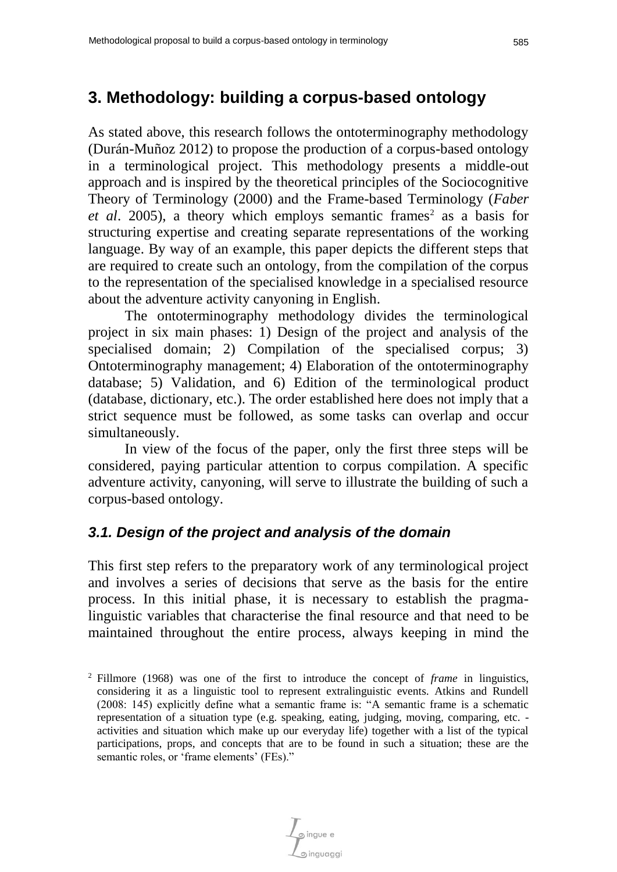## **3. Methodology: building a corpus-based ontology**

As stated above, this research follows the ontoterminography methodology (Durán-Muñoz 2012) to propose the production of a corpus-based ontology in a terminological project. This methodology presents a middle-out approach and is inspired by the theoretical principles of the Sociocognitive Theory of Terminology (2000) and the Frame-based Terminology (*Faber et al.* 2005), a theory which employs semantic frames<sup>2</sup> as a basis for structuring expertise and creating separate representations of the working language. By way of an example, this paper depicts the different steps that are required to create such an ontology, from the compilation of the corpus to the representation of the specialised knowledge in a specialised resource about the adventure activity canyoning in English.

The ontoterminography methodology divides the terminological project in six main phases: 1) Design of the project and analysis of the specialised domain; 2) Compilation of the specialised corpus; 3) Ontoterminography management; 4) Elaboration of the ontoterminography database; 5) Validation, and 6) Edition of the terminological product (database, dictionary, etc.). The order established here does not imply that a strict sequence must be followed, as some tasks can overlap and occur simultaneously.

In view of the focus of the paper, only the first three steps will be considered, paying particular attention to corpus compilation. A specific adventure activity, canyoning, will serve to illustrate the building of such a corpus-based ontology.

## *3.1. Design of the project and analysis of the domain*

This first step refers to the preparatory work of any terminological project and involves a series of decisions that serve as the basis for the entire process. In this initial phase, it is necessary to establish the pragmalinguistic variables that characterise the final resource and that need to be maintained throughout the entire process, always keeping in mind the

pingue e

<sup>2</sup> Fillmore (1968) was one of the first to introduce the concept of *frame* in linguistics, considering it as a linguistic tool to represent extralinguistic events. Atkins and Rundell (2008: 145) explicitly define what a semantic frame is: "A semantic frame is a schematic representation of a situation type (e.g. speaking, eating, judging, moving, comparing, etc. activities and situation which make up our everyday life) together with a list of the typical participations, props, and concepts that are to be found in such a situation; these are the semantic roles, or 'frame elements' (FEs)."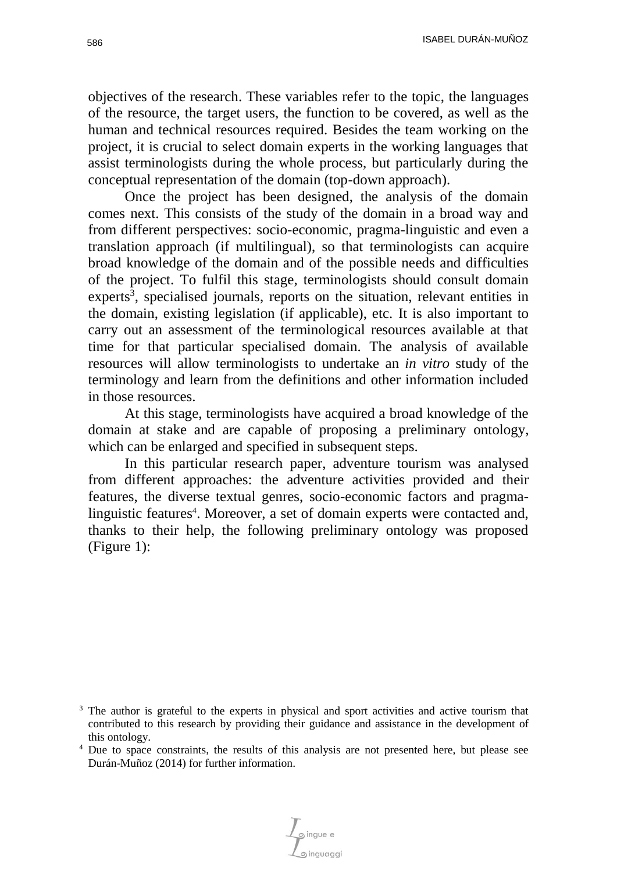ISABEL DURÁN-MUÑOZ 586

objectives of the research. These variables refer to the topic, the languages of the resource, the target users, the function to be covered, as well as the human and technical resources required. Besides the team working on the project, it is crucial to select domain experts in the working languages that assist terminologists during the whole process, but particularly during the conceptual representation of the domain (top-down approach).

Once the project has been designed, the analysis of the domain comes next. This consists of the study of the domain in a broad way and from different perspectives: socio-economic, pragma-linguistic and even a translation approach (if multilingual), so that terminologists can acquire broad knowledge of the domain and of the possible needs and difficulties of the project. To fulfil this stage, terminologists should consult domain experts<sup>3</sup>, specialised journals, reports on the situation, relevant entities in the domain, existing legislation (if applicable), etc. It is also important to carry out an assessment of the terminological resources available at that time for that particular specialised domain. The analysis of available resources will allow terminologists to undertake an *in vitro* study of the terminology and learn from the definitions and other information included in those resources.

At this stage, terminologists have acquired a broad knowledge of the domain at stake and are capable of proposing a preliminary ontology, which can be enlarged and specified in subsequent steps.

In this particular research paper, adventure tourism was analysed from different approaches: the adventure activities provided and their features, the diverse textual genres, socio-economic factors and pragmalinguistic features<sup>4</sup>. Moreover, a set of domain experts were contacted and, thanks to their help, the following preliminary ontology was proposed (Figure 1):

Singue e

<sup>&</sup>lt;sup>3</sup> The author is grateful to the experts in physical and sport activities and active tourism that contributed to this research by providing their guidance and assistance in the development of this ontology.

<sup>&</sup>lt;sup>4</sup> Due to space constraints, the results of this analysis are not presented here, but please see Durán-Muñoz (2014) for further information.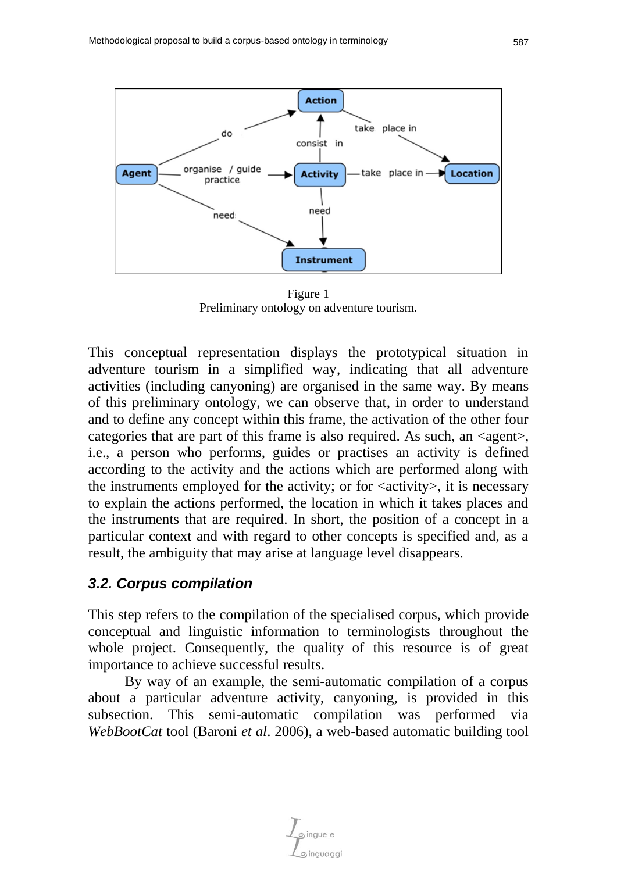

Figure 1 Preliminary ontology on adventure tourism.

This conceptual representation displays the prototypical situation in adventure tourism in a simplified way, indicating that all adventure activities (including canyoning) are organised in the same way. By means of this preliminary ontology, we can observe that, in order to understand and to define any concept within this frame, the activation of the other four categories that are part of this frame is also required. As such, an  $\langle$ agent $\rangle$ , i.e., a person who performs, guides or practises an activity is defined according to the activity and the actions which are performed along with the instruments employed for the activity; or for  $\langle\text{activity}\rangle$ , it is necessary to explain the actions performed, the location in which it takes places and the instruments that are required. In short, the position of a concept in a particular context and with regard to other concepts is specified and, as a result, the ambiguity that may arise at language level disappears.

### *3.2. Corpus compilation*

This step refers to the compilation of the specialised corpus, which provide conceptual and linguistic information to terminologists throughout the whole project. Consequently, the quality of this resource is of great importance to achieve successful results.

By way of an example, the semi-automatic compilation of a corpus about a particular adventure activity, canyoning, is provided in this subsection. This semi-automatic compilation was performed via *WebBootCat* tool (Baroni *et al*. 2006), a web-based automatic building tool

ingue e จ inauaaai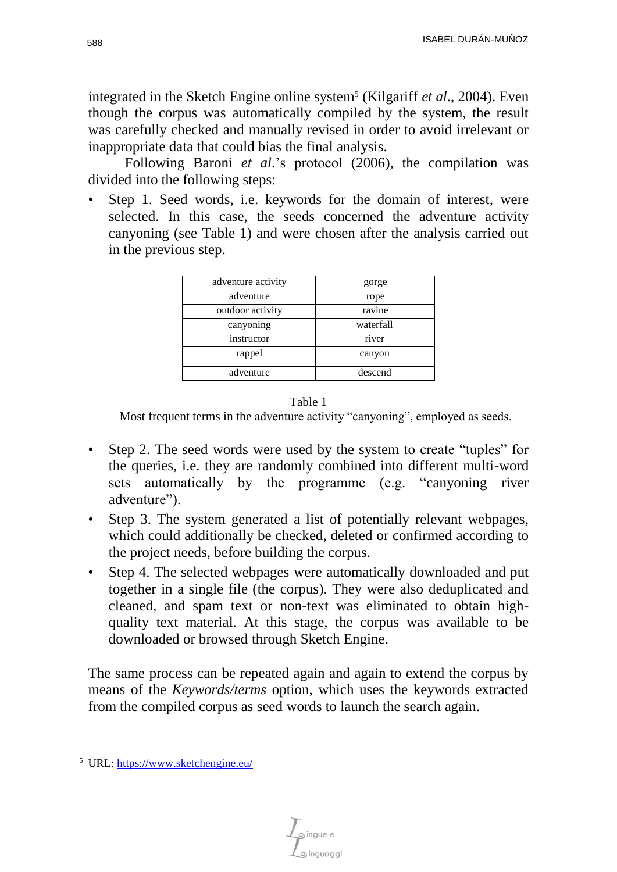integrated in the Sketch Engine online system<sup>5</sup> (Kilgariff *et al.*, 2004). Even though the corpus was automatically compiled by the system, the result was carefully checked and manually revised in order to avoid irrelevant or inappropriate data that could bias the final analysis.

Following Baroni *et al*.'s protocol (2006), the compilation was divided into the following steps:

Step 1. Seed words, i.e. keywords for the domain of interest, were selected. In this case, the seeds concerned the adventure activity canyoning (see Table 1) and were chosen after the analysis carried out in the previous step.

| adventure activity | gorge     |  |  |
|--------------------|-----------|--|--|
| adventure          | rope      |  |  |
| outdoor activity   | ravine    |  |  |
| canyoning          | waterfall |  |  |
| instructor         | river     |  |  |
| rappel             | canyon    |  |  |
| adventure          | descend   |  |  |



Most frequent terms in the adventure activity "canyoning", employed as seeds.

- Step 2. The seed words were used by the system to create "tuples" for the queries, i.e. they are randomly combined into different multi-word sets automatically by the programme (e.g. "canyoning river adventure").
- Step 3. The system generated a list of potentially relevant webpages, which could additionally be checked, deleted or confirmed according to the project needs, before building the corpus.
- Step 4. The selected webpages were automatically downloaded and put together in a single file (the corpus). They were also deduplicated and cleaned, and spam text or non-text was eliminated to obtain highquality text material. At this stage, the corpus was available to be downloaded or browsed through Sketch Engine.

The same process can be repeated again and again to extend the corpus by means of the *Keywords/terms* option, which uses the keywords extracted from the compiled corpus as seed words to launch the search again.

inauaaai

<sup>5</sup> URL:<https://www.sketchengine.eu/>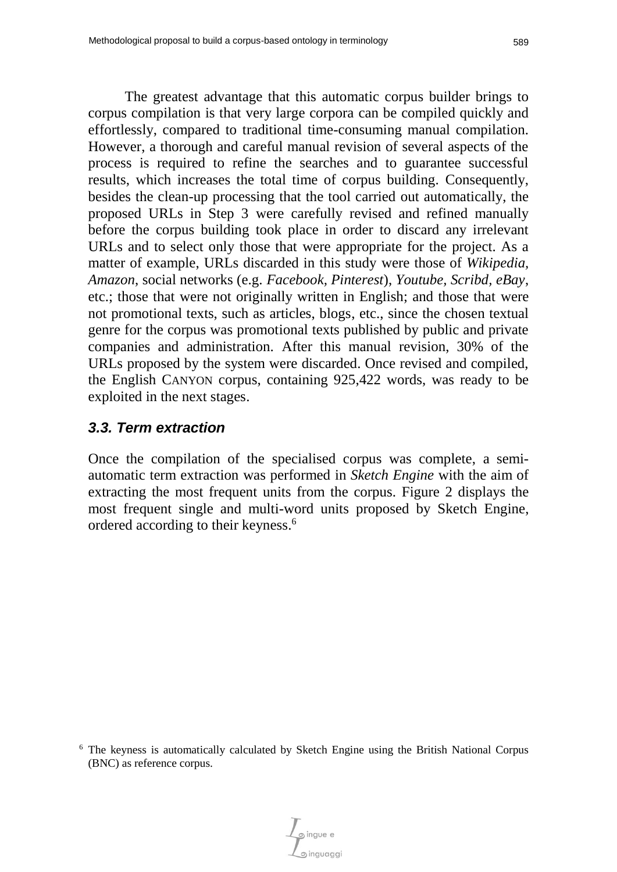The greatest advantage that this automatic corpus builder brings to corpus compilation is that very large corpora can be compiled quickly and effortlessly, compared to traditional time-consuming manual compilation. However, a thorough and careful manual revision of several aspects of the process is required to refine the searches and to guarantee successful results, which increases the total time of corpus building. Consequently, besides the clean-up processing that the tool carried out automatically, the proposed URLs in Step 3 were carefully revised and refined manually before the corpus building took place in order to discard any irrelevant URLs and to select only those that were appropriate for the project. As a matter of example, URLs discarded in this study were those of *Wikipedia, Amazon*, social networks (e.g. *Facebook, Pinterest*), *Youtube, Scribd, eBay*, etc.; those that were not originally written in English; and those that were not promotional texts, such as articles, blogs, etc., since the chosen textual genre for the corpus was promotional texts published by public and private companies and administration. After this manual revision, 30% of the URLs proposed by the system were discarded. Once revised and compiled, the English CANYON corpus, containing 925,422 words, was ready to be exploited in the next stages.

### *3.3. Term extraction*

Once the compilation of the specialised corpus was complete, a semiautomatic term extraction was performed in *Sketch Engine* with the aim of extracting the most frequent units from the corpus. Figure 2 displays the most frequent single and multi-word units proposed by Sketch Engine, ordered according to their keyness. 6

<sup>6</sup> The keyness is automatically calculated by Sketch Engine using the British National Corpus (BNC) as reference corpus.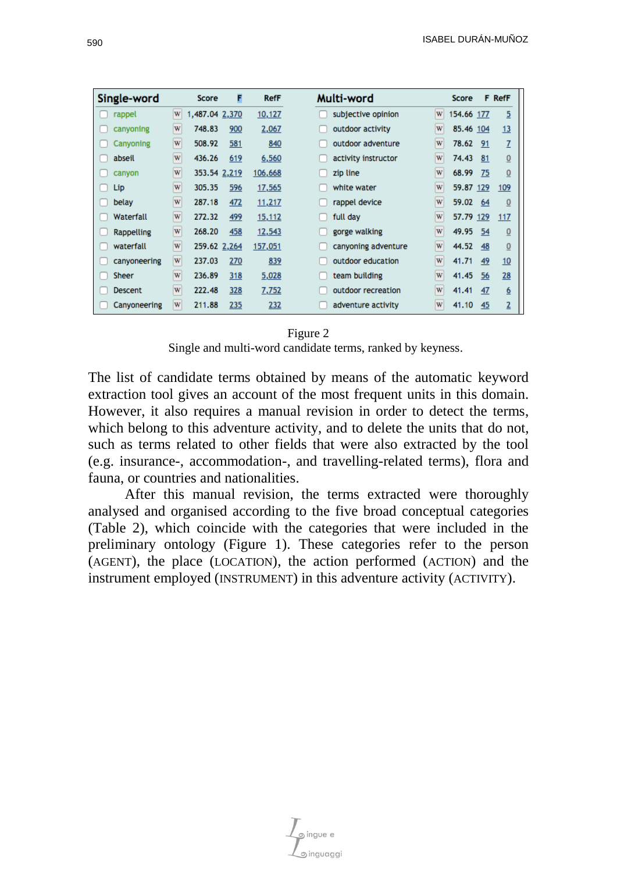| Single-word  |   | Score          | F   | <b>RefF</b>   | Multi-word          |   | Score      |     | <b>F</b> RefF   |
|--------------|---|----------------|-----|---------------|---------------------|---|------------|-----|-----------------|
| rappel       | W | 1,487.04 2,370 |     | 10,127        | subjective opinion  | W | 154.66 177 |     | 5               |
| canyoning    | W | 748.83         | 900 | 2,067         | outdoor activity    | W | 85.46 104  |     | 13              |
| Canyoning    | W | 508.92         | 581 | 840           | outdoor adventure   | W | 78.62      | -91 | Z               |
| abseil       | W | 436.26         | 619 | 6,560         | activity instructor | W | 74.43      | 81  | $\underline{0}$ |
| canyon       | W | 353.54 2,219   |     | 106,668       | zip line            | W | 68.99      | 75  | 0               |
| Lip          | W | 305.35         | 596 | 17,565        | white water         | W | 59.87 129  |     | 109             |
| belay        | W | 287.18         | 472 | 11,217        | rappel device       | W | 59.02      | 64  | $\bf{0}$        |
| Waterfall    | W | 272.32         | 499 | <u>15,112</u> | full day            | W | 57.79 129  |     | 117             |
| Rappelling   | W | 268.20         | 458 | 12,543        | gorge walking       | W | 49.95      | 54  | $\overline{0}$  |
| waterfall    | W | 259.62 2,264   |     | 157,051       | canyoning adventure | W | 44.52      | 48  | 0               |
| canyoneering | W | 237.03         | 270 | 839           | outdoor education   | W | 41.71      | 49  | 10              |
| <b>Sheer</b> | W | 236.89         | 318 | 5,028         | team building       | W | 41.45      | 56  | 28              |
| Descent      | W | 222.48         | 328 | 7,752         | outdoor recreation  | W | 41.41      | 47  | <u>6</u>        |
| Canyoneering | W | 211.88         | 235 | 232           | adventure activity  | W | 41.10      | 45  | $\overline{2}$  |

#### Figure 2

Single and multi-word candidate terms, ranked by keyness.

The list of candidate terms obtained by means of the automatic keyword extraction tool gives an account of the most frequent units in this domain. However, it also requires a manual revision in order to detect the terms, which belong to this adventure activity, and to delete the units that do not, such as terms related to other fields that were also extracted by the tool (e.g. insurance-, accommodation-, and travelling-related terms), flora and fauna, or countries and nationalities.

After this manual revision, the terms extracted were thoroughly analysed and organised according to the five broad conceptual categories (Table 2), which coincide with the categories that were included in the preliminary ontology (Figure 1). These categories refer to the person (AGENT), the place (LOCATION), the action performed (ACTION) and the instrument employed (INSTRUMENT) in this adventure activity (ACTIVITY).

inguaggi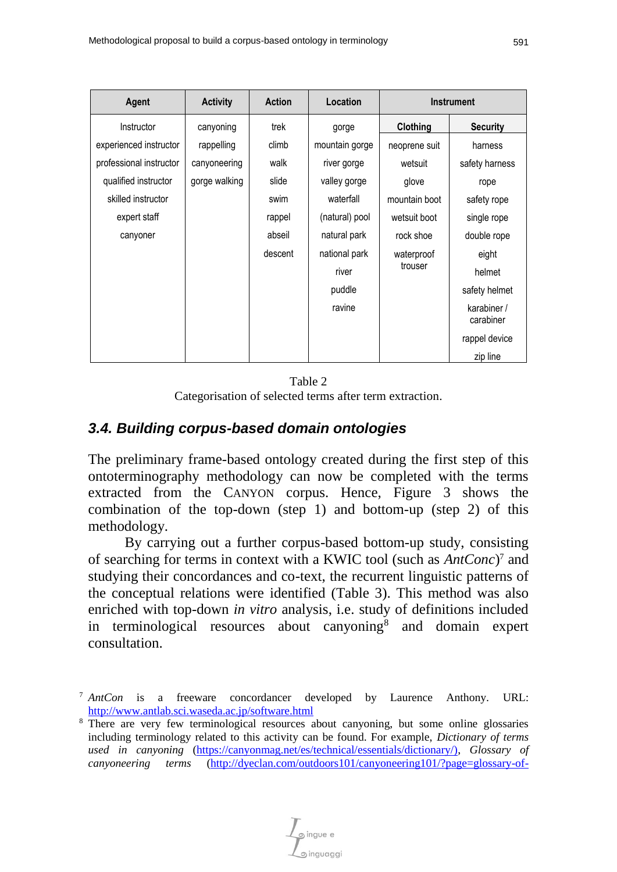| Agent                   | <b>Activity</b> | <b>Action</b> | Location       | <b>Instrument</b> |                          |  |
|-------------------------|-----------------|---------------|----------------|-------------------|--------------------------|--|
| Instructor              | canyoning       | trek<br>gorge |                | Clothing          | <b>Security</b>          |  |
| experienced instructor  | rappelling      | climb         | mountain gorge | neoprene suit     | harness                  |  |
| professional instructor | canyoneering    | walk          | river gorge    | wetsuit           | safety harness           |  |
| qualified instructor    | gorge walking   | slide         | valley gorge   | glove             | rope                     |  |
| skilled instructor      |                 | swim          | waterfall      | mountain boot     | safety rope              |  |
| expert staff            |                 | rappel        | (natural) pool | wetsuit boot      | single rope              |  |
| canyoner                |                 | abseil        | natural park   | rock shoe         | double rope              |  |
|                         |                 | descent       | national park  | waterproof        | eight                    |  |
|                         |                 |               | river          | trouser           | helmet                   |  |
|                         |                 |               | puddle         |                   | safety helmet            |  |
|                         |                 |               | ravine         |                   | karabiner /<br>carabiner |  |
|                         |                 |               |                |                   | rappel device            |  |
|                         |                 |               |                |                   | zip line                 |  |

Table 2 Categorisation of selected terms after term extraction.

## *3.4. Building corpus-based domain ontologies*

The preliminary frame-based ontology created during the first step of this ontoterminography methodology can now be completed with the terms extracted from the CANYON corpus. Hence, Figure 3 shows the combination of the top-down (step 1) and bottom-up (step 2) of this methodology.

By carrying out a further corpus-based bottom-up study, consisting of searching for terms in context with a KWIC tool (such as *AntConc*) <sup>7</sup> and studying their concordances and co-text, the recurrent linguistic patterns of the conceptual relations were identified (Table 3). This method was also enriched with top-down *in vitro* analysis, i.e. study of definitions included in terminological resources about canyoning<sup>8</sup> and domain expert consultation.

<sup>7</sup> *AntCon* is a freeware concordancer developed by Laurence Anthony. URL: <http://www.antlab.sci.waseda.ac.jp/software.html>

<sup>&</sup>lt;sup>8</sup> There are very few terminological resources about canyoning, but some online glossaries including terminology related to this activity can be found. For example, *Dictionary of terms used in canyoning* [\(https://canyonmag.net/es/technical/essentials/dictionary/\),](https://canyonmag.net/es/technical/essentials/dictionary/)) *Glossary of canyoneering terms* [\(http://dyeclan.com/outdoors101/canyoneering101/?page=glossary-of-](http://dyeclan.com/outdoors101/canyoneering101/?page=glossary-of-canyoneering-terms))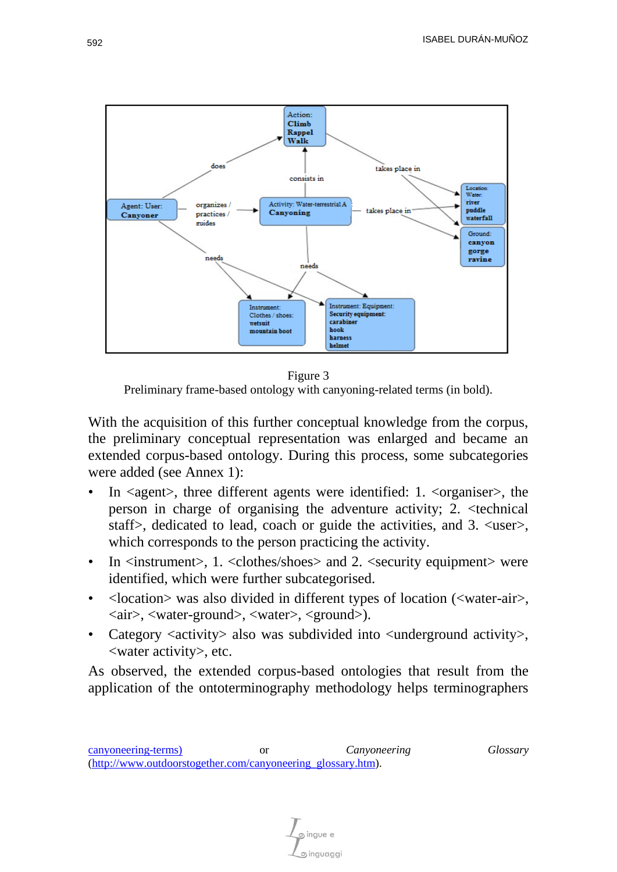

Figure 3 Preliminary frame-based ontology with canyoning-related terms (in bold).

With the acquisition of this further conceptual knowledge from the corpus, the preliminary conceptual representation was enlarged and became an extended corpus-based ontology. During this process, some subcategories were added (see Annex 1):

- In <agent>, three different agents were identified: 1. <organiser>, the person in charge of organising the adventure activity; 2. <technical staff>, dedicated to lead, coach or guide the activities, and 3. <user>, which corresponds to the person practicing the activity.
- In  $\langle$  instrument $\rangle$ , 1.  $\langle$  clothes/shoes $\rangle$  and 2.  $\langle$  security equipment $\rangle$  were identified, which were further subcategorised.
- <location> was also divided in different types of location (<water-air>, <air>, <water-ground>, <water>, <ground>).
- Category  $\langle\langle\langle\langle\rangle\rangle\rangle\rangle$  also was subdivided into  $\langle\langle\rangle\rangle$ underground activity. <water activity>, etc.

As observed, the extended corpus-based ontologies that result from the application of the ontoterminography methodology helps terminographers

ingue e ര inauaaai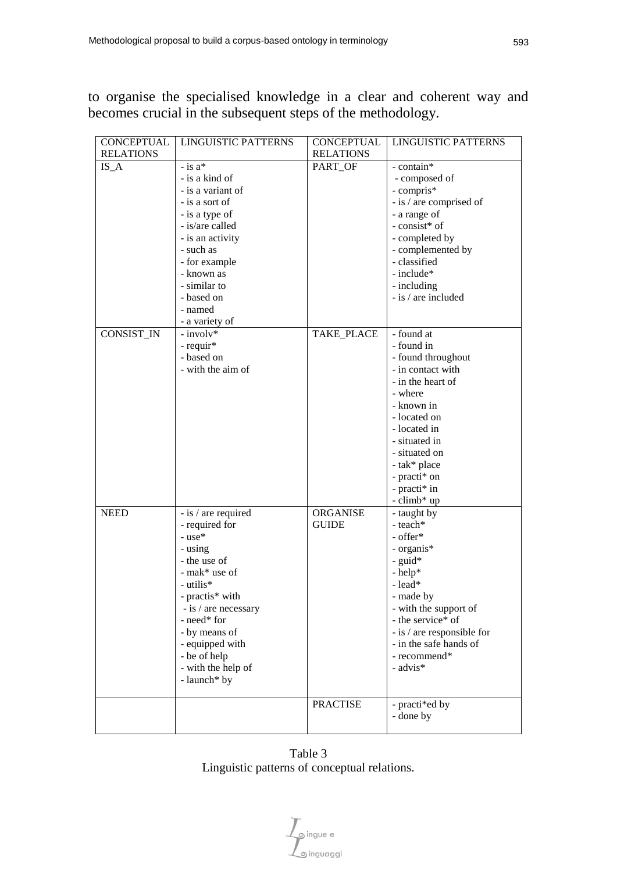to organise the specialised knowledge in a clear and coherent way and becomes crucial in the subsequent steps of the methodology.

| <b>CONCEPTUAL</b> | <b>LINGUISTIC PATTERNS</b> | <b>CONCEPTUAL</b> | <b>LINGUISTIC PATTERNS</b> |
|-------------------|----------------------------|-------------------|----------------------------|
| <b>RELATIONS</b>  |                            | <b>RELATIONS</b>  |                            |
| $IS_A$            | $-$ is $a^*$               | PART_OF           | - contain*                 |
|                   | - is a kind of             |                   | - composed of              |
|                   | - is a variant of          |                   | - compris*                 |
|                   | - is a sort of             |                   | - is / are comprised of    |
|                   | - is a type of             |                   | - a range of               |
|                   | - is/are called            |                   | - consist* of              |
|                   | - is an activity           |                   | - completed by             |
|                   | - such as                  |                   | - complemented by          |
|                   | - for example              |                   | - classified               |
|                   | - known as                 |                   | - include*                 |
|                   | - similar to               |                   | - including                |
|                   | - based on                 |                   | - is / are included        |
|                   | - named                    |                   |                            |
|                   | - a variety of             |                   |                            |
| CONSIST_IN        | - involv*                  | TAKE_PLACE        | - found at                 |
|                   | - requir*                  |                   | - found in                 |
|                   | - based on                 |                   | - found throughout         |
|                   | - with the aim of          |                   | - in contact with          |
|                   |                            |                   | - in the heart of          |
|                   |                            |                   | - where                    |
|                   |                            |                   | - known in                 |
|                   |                            |                   | - located on               |
|                   |                            |                   | - located in               |
|                   |                            |                   | - situated in              |
|                   |                            |                   | - situated on              |
|                   |                            |                   | - tak* place               |
|                   |                            |                   | - practi* on               |
|                   |                            |                   | - practi* in               |
|                   |                            | <b>ORGANISE</b>   | - climb* up                |
| <b>NEED</b>       | - is / are required        | <b>GUIDE</b>      | - taught by<br>- teach*    |
|                   | - required for<br>- use*   |                   | - offer*                   |
|                   | - using                    |                   | - organis*                 |
|                   | - the use of               |                   | - guid*                    |
|                   | - mak* use of              |                   | - help*                    |
|                   | - utilis*                  |                   | - lead*                    |
|                   | - practis* with            |                   | - made by                  |
|                   | - is / are necessary       |                   | - with the support of      |
|                   | - need* for                |                   | - the service* of          |
|                   | - by means of              |                   | - is / are responsible for |
|                   | - equipped with            |                   | - in the safe hands of     |
|                   | - be of help               |                   | - recommend*               |
|                   | - with the help of         |                   | - $\mbox{advis}*$          |
|                   | - launch* by               |                   |                            |
|                   |                            | <b>PRACTISE</b>   | - practi*ed by             |
|                   |                            |                   | - done by                  |
|                   |                            |                   |                            |

Table 3 Linguistic patterns of conceptual relations.

 $\int_{\text{S}}$ ingue e<br> $\int_{\text{S}}$ inguaggi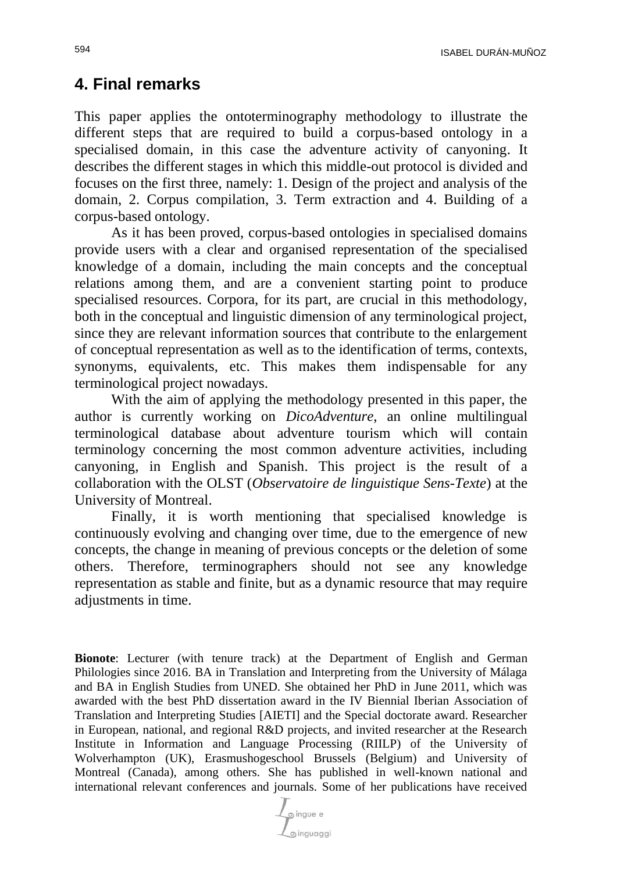### **4. Final remarks**

This paper applies the ontoterminography methodology to illustrate the different steps that are required to build a corpus-based ontology in a specialised domain, in this case the adventure activity of canyoning. It describes the different stages in which this middle-out protocol is divided and focuses on the first three, namely: 1. Design of the project and analysis of the domain, 2. Corpus compilation, 3. Term extraction and 4. Building of a corpus-based ontology.

As it has been proved, corpus-based ontologies in specialised domains provide users with a clear and organised representation of the specialised knowledge of a domain, including the main concepts and the conceptual relations among them, and are a convenient starting point to produce specialised resources. Corpora, for its part, are crucial in this methodology, both in the conceptual and linguistic dimension of any terminological project, since they are relevant information sources that contribute to the enlargement of conceptual representation as well as to the identification of terms, contexts, synonyms, equivalents, etc. This makes them indispensable for any terminological project nowadays.

With the aim of applying the methodology presented in this paper, the author is currently working on *DicoAdventure*, an online multilingual terminological database about adventure tourism which will contain terminology concerning the most common adventure activities, including canyoning, in English and Spanish. This project is the result of a collaboration with the OLST (*Observatoire de linguistique Sens-Texte*) at the University of Montreal.

Finally, it is worth mentioning that specialised knowledge is continuously evolving and changing over time, due to the emergence of new concepts, the change in meaning of previous concepts or the deletion of some others. Therefore, terminographers should not see any knowledge representation as stable and finite, but as a dynamic resource that may require adjustments in time.

**Bionote**: Lecturer (with tenure track) at the Department of English and German Philologies since 2016. BA in Translation and Interpreting from the University of Málaga and BA in English Studies from UNED. She obtained her PhD in June 2011, which was awarded with the best PhD dissertation award in the IV Biennial Iberian Association of Translation and Interpreting Studies [AIETI] and the Special doctorate award. Researcher in European, national, and regional R&D projects, and invited researcher at the Research Institute in Information and Language Processing (RIILP) of the University of Wolverhampton (UK), Erasmushogeschool Brussels (Belgium) and University of Montreal (Canada), among others. She has published in well-known national and international relevant conferences and journals. Some of her publications have received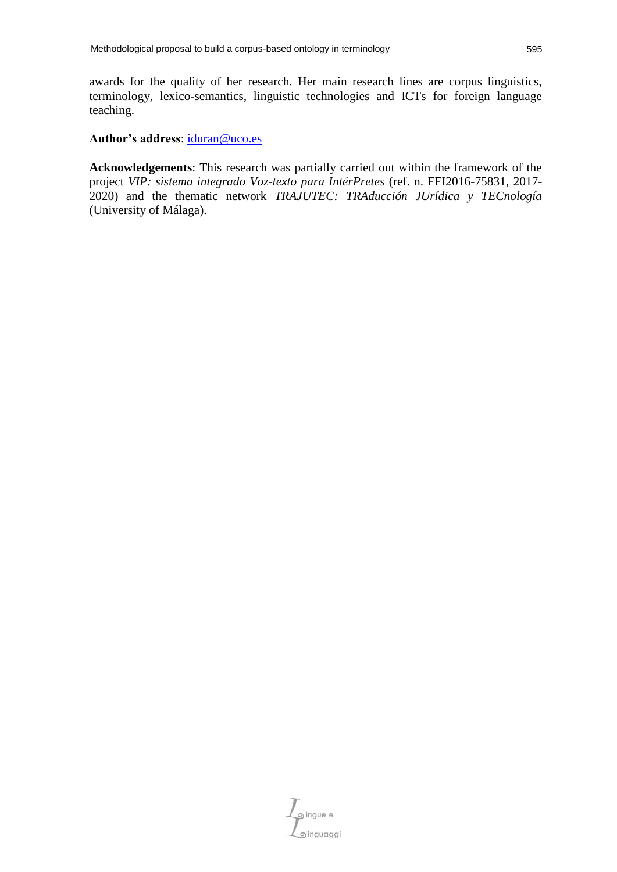awards for the quality of her research. Her main research lines are corpus linguistics, terminology, lexico-semantics, linguistic technologies and ICTs for foreign language teaching.

#### **Author's address**: [iduran@uco.es](mailto:iduran@uco.es)

**Acknowledgements**: This research was partially carried out within the framework of the project *VIP: sistema integrado Voz-texto para IntérPretes* (ref. n. FFI2016-75831, 2017- 2020) and the thematic network *TRAJUTEC: TRAducción JUrídica y TECnología* (University of Málaga).

o ingue e inguaggi @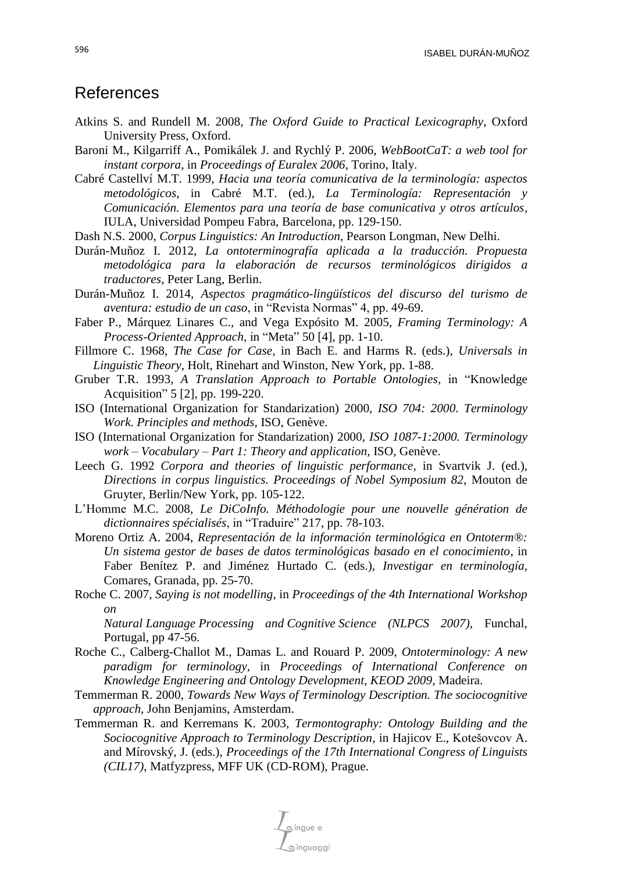### References

- Atkins S. and Rundell M. 2008, *The Oxford Guide to Practical Lexicography*, Oxford University Press, Oxford.
- Baroni M., Kilgarriff A., Pomikálek J. and Rychlý P. 2006, *WebBootCaT: a web tool for instant corpora*, in *Proceedings of Euralex 2006*, Torino, Italy.
- Cabré Castellví M.T. 1999, *Hacia una teoría comunicativa de la terminología: aspectos metodológicos*, in Cabré M.T. (ed.), *La Terminología: Representación y Comunicación. Elementos para una teoría de base comunicativa y otros artículos,* IULA, Universidad Pompeu Fabra, Barcelona, pp. 129-150.
- Dash N.S. 2000, *Corpus Linguistics: An Introduction,* Pearson Longman, New Delhi.
- Durán-Muñoz I. 2012, *La ontoterminografía aplicada a la traducción. Propuesta metodológica para la elaboración de recursos terminológicos dirigidos a traductores*, Peter Lang, Berlin.
- Durán-Muñoz I. 2014, *Aspectos pragmático-lingüísticos del discurso del turismo de aventura: estudio de un caso*, in "Revista Normas" 4, pp. 49-69.
- Faber P., Márquez Linares C., and Vega Expósito M. 2005, *Framing Terminology: A Process-Oriented Approach*, in "Meta" 50 [4], pp. 1-10.
- Fillmore C. 1968, *The Case for Case*, in Bach E. and Harms R. (eds.), *Universals in Linguistic Theory*, Holt, Rinehart and Winston, New York, pp. 1-88.
- Gruber T.R. 1993, *A Translation Approach to Portable Ontologies,* in "Knowledge Acquisition" 5 [2], pp. 199-220.
- ISO (International Organization for Standarization) 2000, *ISO 704: 2000. Terminology Work. Principles and methods*, ISO, Genève.
- ISO (International Organization for Standarization) 2000, *ISO 1087-1:2000. Terminology work – Vocabulary – Part 1: Theory and application*, ISO, Genève.
- Leech G. 1992 *Corpora and theories of linguistic performance*, in Svartvik J. (ed.), *Directions in corpus linguistics. Proceedings of Nobel Symposium 82*, Mouton de Gruyter, Berlin/New York, pp. 105-122.
- L'Homme M.C. 2008, *Le DiCoInfo. Méthodologie pour une nouvelle génération de dictionnaires spécialisés*, in "Traduire" 217, pp. 78-103.
- Moreno Ortiz A. 2004, *Representación de la información terminológica en Ontoterm®: Un sistema gestor de bases de datos terminológicas basado en el conocimiento*, in Faber Benítez P. and Jiménez Hurtado C. (eds.), *Investigar en terminología,* Comares, Granada, pp. 25-70.
- Roche C. 2007, *Saying is not modelling*, in *Proceedings of the 4th International Workshop on*

*Natural Language Processing and Cognitive Science (NLPCS 2007),* Funchal, Portugal, pp 47-56.

- Roche C., Calberg-Challot M., Damas L. and Rouard P. 2009, *Ontoterminology: A new paradigm for terminology*, in *Proceedings of International Conference on Knowledge Engineering and Ontology Development, KEOD 2009,* Madeira.
- Temmerman R. 2000, *Towards New Ways of Terminology Description. The sociocognitive approach,* John Benjamins, Amsterdam.
- Temmerman R. and Kerremans K. 2003, *Termontography: Ontology Building and the Sociocognitive Approach to Terminology Description,* in Hajicov E., Kotešovcov A. and Mírovský, J. (eds.), *Proceedings of the 17th International Congress of Linguists (CIL17)*, Matfyzpress, MFF UK (CD-ROM), Prague.